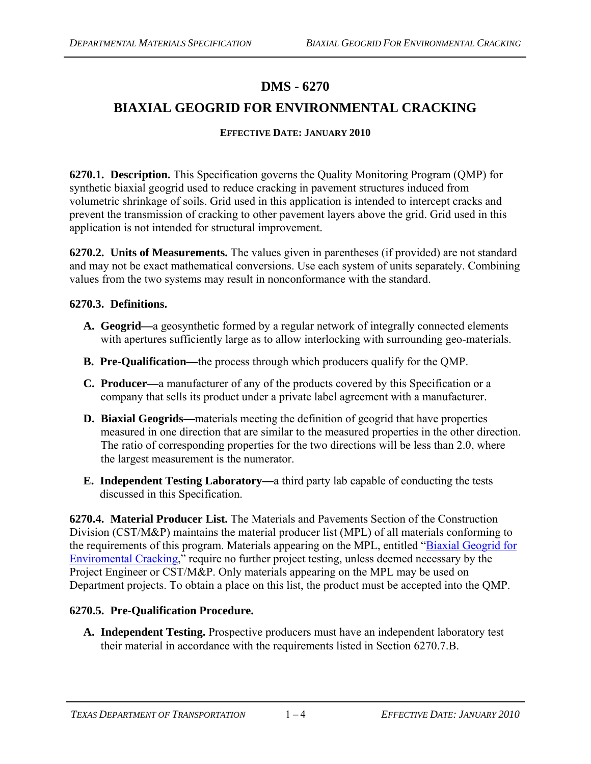## **DMS - 6270**

# **BIAXIAL GEOGRID FOR ENVIRONMENTAL CRACKING**

#### **EFFECTIVE DATE: JANUARY 2010**

**6270.1. Description.** This Specification governs the Quality Monitoring Program (QMP) for synthetic biaxial geogrid used to reduce cracking in pavement structures induced from volumetric shrinkage of soils. Grid used in this application is intended to intercept cracks and prevent the transmission of cracking to other pavement layers above the grid. Grid used in this application is not intended for structural improvement.

**6270.2. Units of Measurements.** The values given in parentheses (if provided) are not standard and may not be exact mathematical conversions. Use each system of units separately. Combining values from the two systems may result in nonconformance with the standard.

#### **6270.3. Definitions.**

- **A. Geogrid—**a geosynthetic formed by a regular network of integrally connected elements with apertures sufficiently large as to allow interlocking with surrounding geo-materials.
- **B. Pre-Qualification—**the process through which producers qualify for the QMP.
- **C. Producer—**a manufacturer of any of the products covered by this Specification or a company that sells its product under a private label agreement with a manufacturer.
- **D. Biaxial Geogrids—**materials meeting the definition of geogrid that have properties measured in one direction that are similar to the measured properties in the other direction. The ratio of corresponding properties for the two directions will be less than 2.0, where the largest measurement is the numerator.
- **E. Independent Testing Laboratory—**a third party lab capable of conducting the tests discussed in this Specification.

**6270.4. Material Producer List.** The Materials and Pavements Section of the Construction Division (CST/M&P) maintains the material producer list (MPL) of all materials conforming to the requirements of this program. Materials appearing on the MPL, entitled ["Biaxial Geogrid for](ftp://ftp.dot.state.tx.us/pub/txdot-info/cmd/mpl/geogrid.pdf)  [Enviromental Cracking,](ftp://ftp.dot.state.tx.us/pub/txdot-info/cmd/mpl/geogrid.pdf)" require no further project testing, unless deemed necessary by the Project Engineer or CST/M&P. Only materials appearing on the MPL may be used on Department projects. To obtain a place on this list, the product must be accepted into the QMP.

#### **6270.5. Pre-Qualification Procedure.**

**A. Independent Testing.** Prospective producers must have an independent laboratory test their material in accordance with the requirements listed in Section 6270.7.B.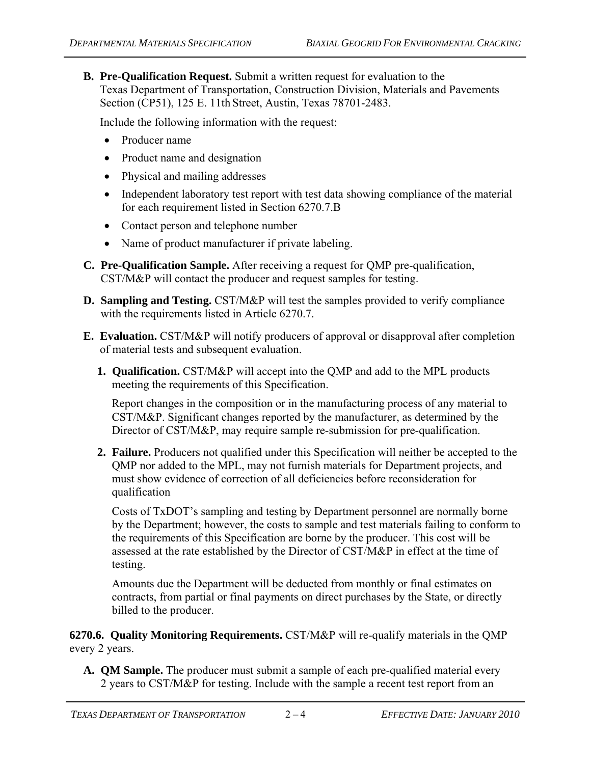**B. Pre-Qualification Request.** Submit a written request for evaluation to the Texas Department of Transportation, Construction Division, Materials and Pavements Section (CP51), 125 E. 11th Street, Austin, Texas 78701-2483.

Include the following information with the request:

- Producer name
- Product name and designation
- Physical and mailing addresses
- Independent laboratory test report with test data showing compliance of the material for each requirement listed in Section 6270.7.B
- Contact person and telephone number
- Name of product manufacturer if private labeling.
- **C. Pre-Qualification Sample.** After receiving a request for QMP pre-qualification, CST/M&P will contact the producer and request samples for testing.
- **D. Sampling and Testing.** CST/M&P will test the samples provided to verify compliance with the requirements listed in Article 6270.7.
- **E. Evaluation.** CST/M&P will notify producers of approval or disapproval after completion of material tests and subsequent evaluation.
	- **1. Qualification.** CST/M&P will accept into the QMP and add to the MPL products meeting the requirements of this Specification.

Report changes in the composition or in the manufacturing process of any material to CST/M&P. Significant changes reported by the manufacturer, as determined by the Director of CST/M&P, may require sample re-submission for pre-qualification.

**2. Failure.** Producers not qualified under this Specification will neither be accepted to the QMP nor added to the MPL, may not furnish materials for Department projects, and must show evidence of correction of all deficiencies before reconsideration for qualification

Costs of TxDOT's sampling and testing by Department personnel are normally borne by the Department; however, the costs to sample and test materials failing to conform to the requirements of this Specification are borne by the producer. This cost will be assessed at the rate established by the Director of CST/M&P in effect at the time of testing.

Amounts due the Department will be deducted from monthly or final estimates on contracts, from partial or final payments on direct purchases by the State, or directly billed to the producer.

**6270.6. Quality Monitoring Requirements.** CST/M&P will re-qualify materials in the QMP every 2 years.

**A. QM Sample.** The producer must submit a sample of each pre-qualified material every 2 years to CST/M&P for testing. Include with the sample a recent test report from an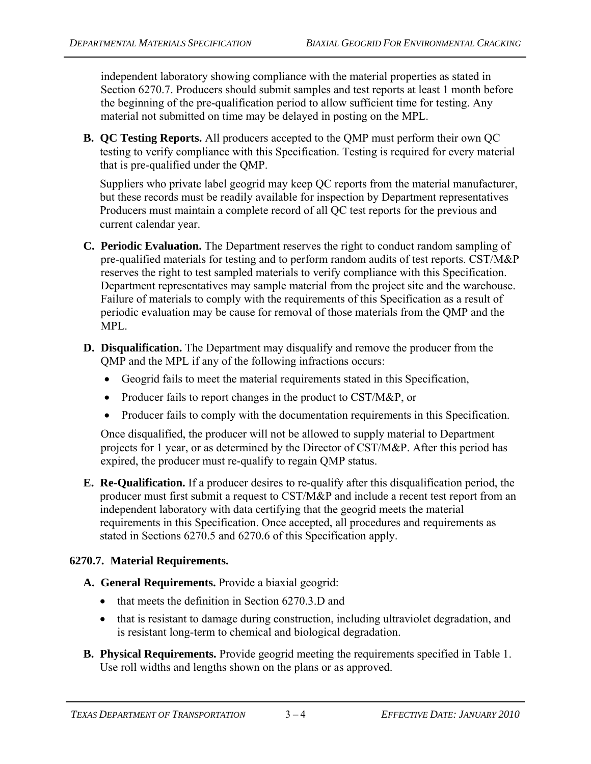independent laboratory showing compliance with the material properties as stated in Section 6270.7. Producers should submit samples and test reports at least 1 month before the beginning of the pre-qualification period to allow sufficient time for testing. Any material not submitted on time may be delayed in posting on the MPL.

**B. QC Testing Reports.** All producers accepted to the QMP must perform their own QC testing to verify compliance with this Specification. Testing is required for every material that is pre-qualified under the QMP.

Suppliers who private label geogrid may keep QC reports from the material manufacturer, but these records must be readily available for inspection by Department representatives Producers must maintain a complete record of all QC test reports for the previous and current calendar year.

- **C. Periodic Evaluation.** The Department reserves the right to conduct random sampling of pre-qualified materials for testing and to perform random audits of test reports. CST/M&P reserves the right to test sampled materials to verify compliance with this Specification. Department representatives may sample material from the project site and the warehouse. Failure of materials to comply with the requirements of this Specification as a result of periodic evaluation may be cause for removal of those materials from the QMP and the MPL.
- **D. Disqualification.** The Department may disqualify and remove the producer from the QMP and the MPL if any of the following infractions occurs:
	- Geogrid fails to meet the material requirements stated in this Specification,
	- Producer fails to report changes in the product to CST/M&P, or
	- Producer fails to comply with the documentation requirements in this Specification.

Once disqualified, the producer will not be allowed to supply material to Department projects for 1 year, or as determined by the Director of CST/M&P. After this period has expired, the producer must re-qualify to regain QMP status.

**E. Re-Qualification.** If a producer desires to re-qualify after this disqualification period, the producer must first submit a request to CST/M&P and include a recent test report from an independent laboratory with data certifying that the geogrid meets the material requirements in this Specification. Once accepted, all procedures and requirements as stated in Sections 6270.5 and 6270.6 of this Specification apply.

### **6270.7. Material Requirements.**

- **A. General Requirements.** Provide a biaxial geogrid:
	- $\bullet$  that meets the definition in Section 6270.3.D and
	- that is resistant to damage during construction, including ultraviolet degradation, and is resistant long-term to chemical and biological degradation.
- **B. Physical Requirements.** Provide geogrid meeting the requirements specified in Table 1. Use roll widths and lengths shown on the plans or as approved.